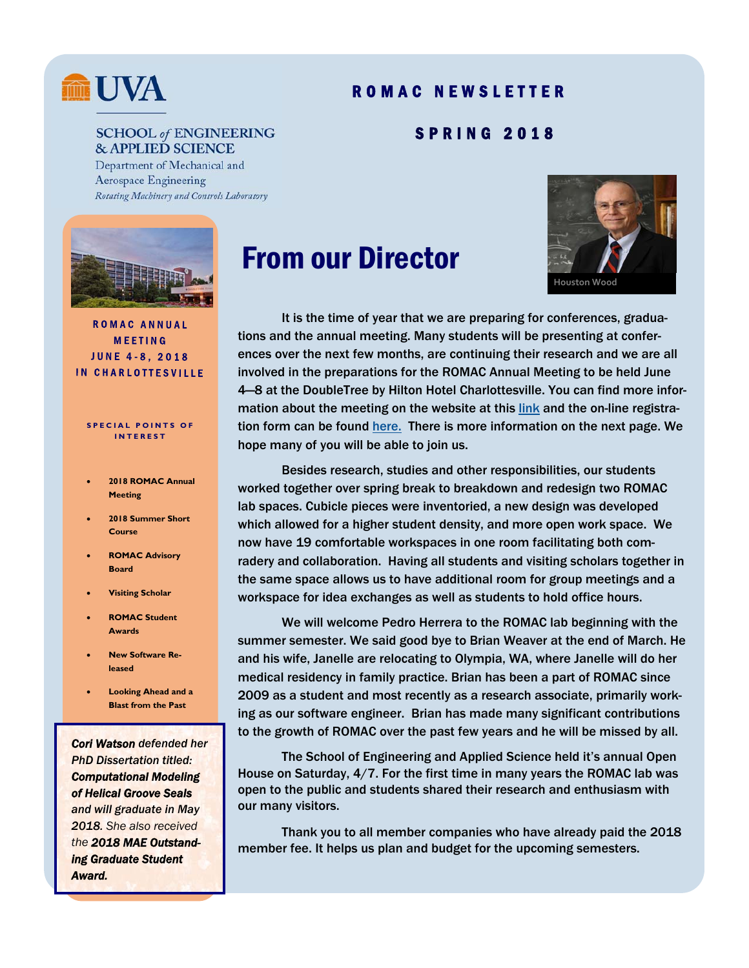## **MM** UVA

#### ROMAC NEWSLETTER

SPRING 2018

#### **SCHOOL of ENGINEERING & APPLIED SCIENCE**

Department of Mechanical and **Aerospace Engineering** Rotating Machinery and Controls Laboratory





 It is the time of year that we are preparing for conferences, graduations and the annual meeting. Many students will be presenting at conferences over the next few months, are continuing their research and we are all involved in the preparations for the ROMAC Annual Meeting to be held June 4—8 at the DoubleTree by Hilton Hotel Charlottesville. You can find more information about the meeting on the website at this link and the on-line registration form can be found here. There is more information on the next page. We hope many of you will be able to join us.

 Besides research, studies and other responsibilities, our students worked together over spring break to breakdown and redesign two ROMAC lab spaces. Cubicle pieces were inventoried, a new design was developed which allowed for a higher student density, and more open work space. We now have 19 comfortable workspaces in one room facilitating both comradery and collaboration. Having all students and visiting scholars together in the same space allows us to have additional room for group meetings and a workspace for idea exchanges as well as students to hold office hours.

 We will welcome Pedro Herrera to the ROMAC lab beginning with the summer semester. We said good bye to Brian Weaver at the end of March. He and his wife, Janelle are relocating to Olympia, WA, where Janelle will do her medical residency in family practice. Brian has been a part of ROMAC since 2009 as a student and most recently as a research associate, primarily working as our software engineer. Brian has made many significant contributions to the growth of ROMAC over the past few years and he will be missed by all.

 The School of Engineering and Applied Science held it's annual Open House on Saturday, 4/7. For the first time in many years the ROMAC lab was open to the public and students shared their research and enthusiasm with our many visitors.

 Thank you to all member companies who have already paid the 2018 member fee. It helps us plan and budget for the upcoming semesters.

#### **MEETING JUNE 4-8, 2018 IN CHARLOTTESVILLE**

**ROMAC ANNUAL** 

#### **SPECIAL POINTS OF INTEREST**

- **2018 ROMAC Annual Meeting**
- **2018 Summer Short Course**
- **ROMAC Advisory Board**
- **Visiting Scholar**
- **ROMAC Student Awards**
- **New Software Released**
- **Looking Ahead and a Blast from the Past**

*Cori Watson defended her PhD Dissertation titled: Computational Modeling of Helical Groove Seals and will graduate in May 2018. She also received the 2018 MAE Outstanding Graduate Student Award.*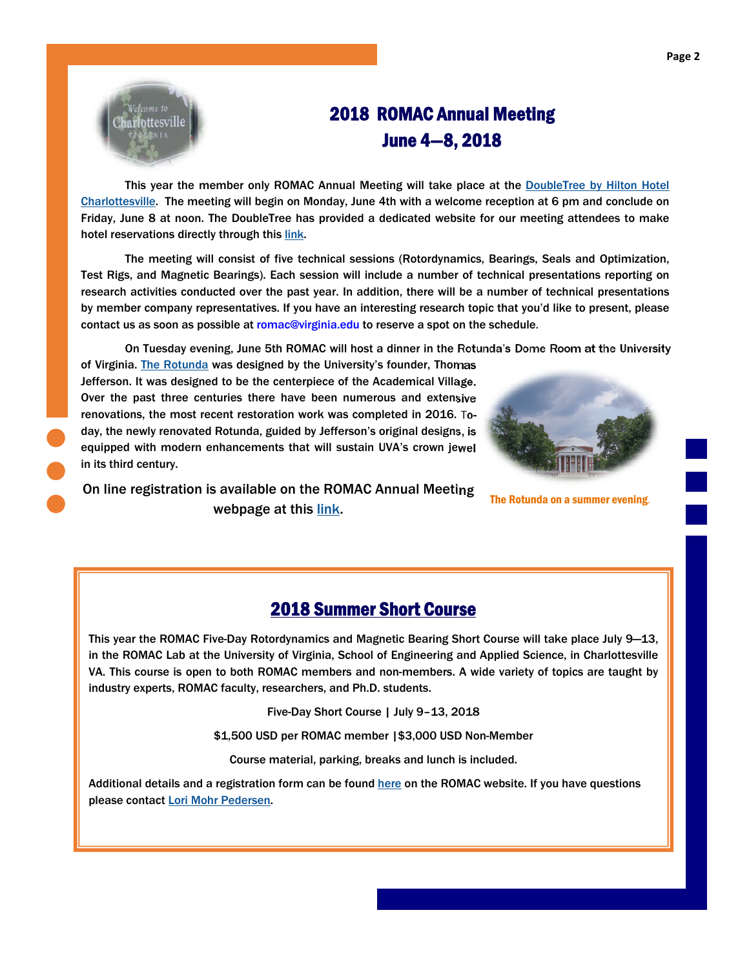

### 2018 ROMAC Annual Meeting June 4—8, 2018

This year the member only ROMAC Annual Meeting will take place at the DoubleTree by Hilton Hotel Charlottesville. The meeting will begin on Monday, June 4th with a welcome reception at 6 pm and conclude on Friday, June 8 at noon. The DoubleTree has provided a dedicated website for our meeting attendees to make hotel reservations directly through this link.

 The meeting will consist of five technical sessions (Rotordynamics, Bearings, Seals and Optimization, Test Rigs, and Magnetic Bearings). Each session will include a number of technical presentations reporting on research activities conducted over the past year. In addition, there will be a number of technical presentations by member company representatives. If you have an interesting research topic that you'd like to present, please contact us as soon as possible at romac@virginia.edu to reserve a spot on the schedule.

On Tuesday evening, June 5th ROMAC will host a dinner in the Rotunda's Dome Room at the University

of Virginia. The Rotunda was designed by the University's founder, Thomas Jefferson. It was designed to be the centerpiece of the Academical Village. Over the past three centuries there have been numerous and extensive renovations, the most recent restoration work was completed in 2016. Today, the newly renovated Rotunda, guided by Jefferson's original designs, is equipped with modern enhancements that will sustain UVA's crown jewel in its third century.



On line registration is available on the ROMAC Annual Meeting webpage at this link. The Rotunda on a summer evening.

#### 2018 Summer Short Course

This year the ROMAC Five-Day Rotordynamics and Magnetic Bearing Short Course will take place July 9—13, in the ROMAC Lab at the University of Virginia, School of Engineering and Applied Science, in Charlottesville VA. This course is open to both ROMAC members and non-members. A wide variety of topics are taught by industry experts, ROMAC faculty, researchers, and Ph.D. students.

Five-Day Short Course | July 9–13, 2018

\$1,500 USD per ROMAC member |\$3,000 USD Non-Member

Course material, parking, breaks and lunch is included.

Additional details and a registration form can be found here on the ROMAC website. If you have questions please contact Lori Mohr Pedersen.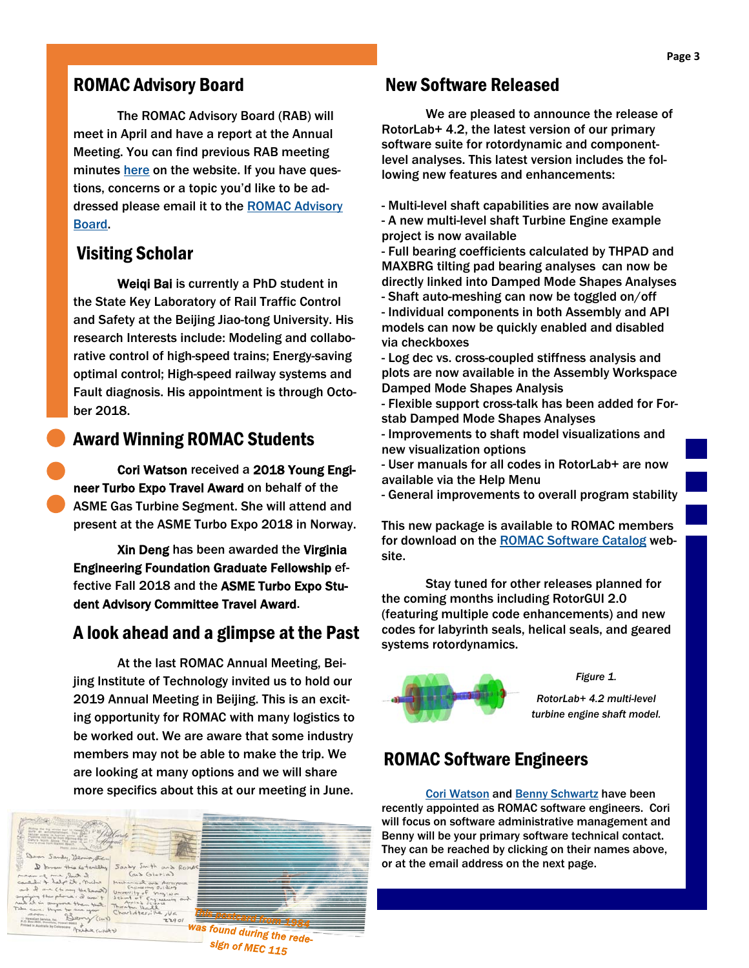#### ROMAC Advisory Board

The ROMAC Advisory Board (RAB) will meet in April and have a report at the Annual Meeting. You can find previous RAB meeting minutes here on the website. If you have questions, concerns or a topic you'd like to be addressed please email it to the ROMAC Advisory Board.

#### Visiting Scholar

 Weiqi Bai is currently a PhD student in the State Key Laboratory of Rail Traffic Control and Safety at the Beijing Jiao-tong University. His research Interests include: Modeling and collaborative control of high-speed trains; Energy-saving optimal control; High-speed railway systems and Fault diagnosis. His appointment is through October 2018.

#### Award Winning ROMAC Students

 Cori Watson received a 2018 Young Engineer Turbo Expo Travel Award on behalf of the ASME Gas Turbine Segment. She will attend and present at the ASME Turbo Expo 2018 in Norway.

Xin Deng has been awarded the Virginia Engineering Foundation Graduate Fellowship effective Fall 2018 and the ASME Turbo Expo Student Advisory Committee Travel Award.

#### A look ahead and a glimpse at the Past

 At the last ROMAC Annual Meeting, Beijing Institute of Technology invited us to hold our 2019 Annual Meeting in Beijing. This is an exciting opportunity for ROMAC with many logistics to be worked out. We are aware that some industry members may not be able to make the trip. We are looking at many options and we will share more specifics about this at our meeting in June.



#### New Software Released

 We are pleased to announce the release of RotorLab+ 4.2, the latest version of our primary software suite for rotordynamic and componentlevel analyses. This latest version includes the following new features and enhancements:

- Multi-level shaft capabilities are now available - A new multi-level shaft Turbine Engine example project is now available
- Full bearing coefficients calculated by THPAD and MAXBRG tilting pad bearing analyses can now be directly linked into Damped Mode Shapes Analyses - Shaft auto-meshing can now be toggled on/off
- Individual components in both Assembly and API models can now be quickly enabled and disabled via checkboxes
- Log dec vs. cross-coupled stiffness analysis and plots are now available in the Assembly Workspace Damped Mode Shapes Analysis
- Flexible support cross-talk has been added for Forstab Damped Mode Shapes Analyses
- Improvements to shaft model visualizations and new visualization options
- User manuals for all codes in RotorLab+ are now available via the Help Menu
- General improvements to overall program stability

This new package is available to ROMAC members for download on the ROMAC Software Catalog website.

 Stay tuned for other releases planned for the coming months including RotorGUI 2.0 (featuring multiple code enhancements) and new codes for labyrinth seals, helical seals, and geared systems rotordynamics.



*Figure 1.* 

*RotorLab+ 4.2 multi-level turbine engine shaft model.* 

#### ROMAC Software Engineers

Cori Watson and Benny Schwartz have been recently appointed as ROMAC software engineers. Cori will focus on software administrative management and Benny will be your primary software technical contact. They can be reached by clicking on their names above, or at the email address on the next page.